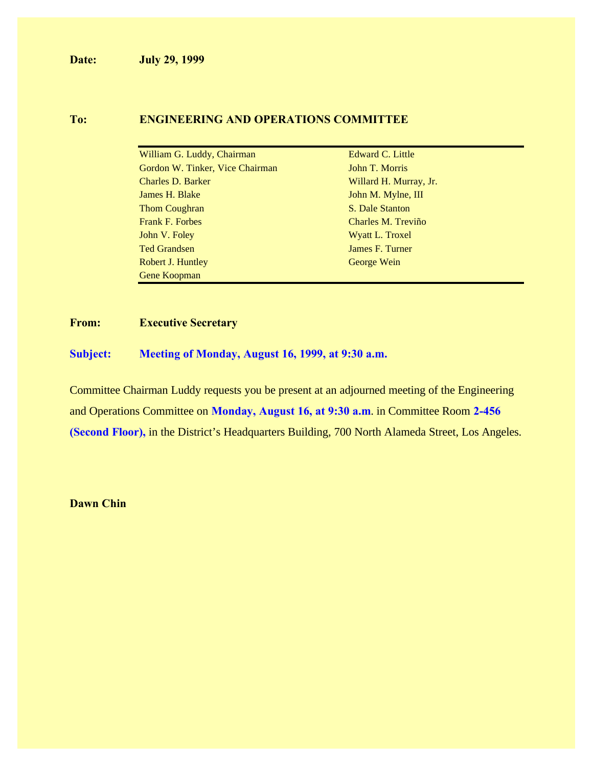**Date: July 29, 1999**

#### **To: ENGINEERING AND OPERATIONS COMMITTEE**

| William G. Luddy, Chairman      | Edward C. Little       |
|---------------------------------|------------------------|
| Gordon W. Tinker, Vice Chairman | John T. Morris         |
| Charles D. Barker               | Willard H. Murray, Jr. |
| James H. Blake                  | John M. Mylne, III     |
| Thom Coughran                   | S. Dale Stanton        |
| <b>Frank F. Forbes</b>          | Charles M. Treviño     |
| John V. Foley                   | Wyatt L. Troxel        |
| <b>Ted Grandsen</b>             | James F. Turner        |
| Robert J. Huntley               | George Wein            |
| Gene Koopman                    |                        |

#### **From: Executive Secretary**

**Subject: Meeting of Monday, August 16, 1999, at 9:30 a.m.**

Committee Chairman Luddy requests you be present at an adjourned meeting of the Engineering and Operations Committee on **Monday, August 16, at 9:30 a.m**. in Committee Room **2-456 (Second Floor),** in the District's Headquarters Building, 700 North Alameda Street, Los Angeles.

**Dawn Chin**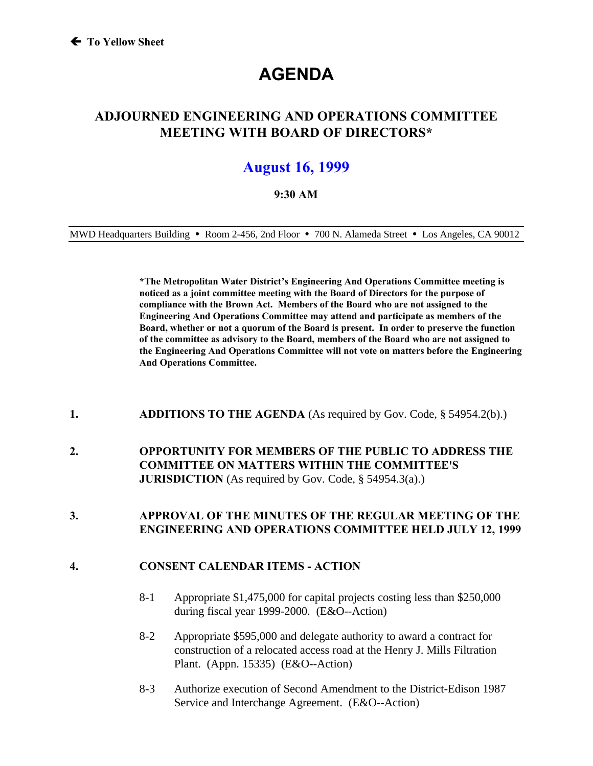# **AGENDA**

### **ADJOURNED ENGINEERING AND OPERATIONS COMMITTEE MEETING WITH BOARD OF DIRECTORS\***

## **August 16, 1999**

#### **9:30 AM**

MWD Headquarters Building **ü** Room 2-456, 2nd Floor **ü** 700 N. Alameda Street **ü** Los Angeles, CA 90012

**\*The Metropolitan Water District's Engineering And Operations Committee meeting is noticed as a joint committee meeting with the Board of Directors for the purpose of compliance with the Brown Act. Members of the Board who are not assigned to the Engineering And Operations Committee may attend and participate as members of the Board, whether or not a quorum of the Board is present. In order to preserve the function of the committee as advisory to the Board, members of the Board who are not assigned to the Engineering And Operations Committee will not vote on matters before the Engineering And Operations Committee.**

- **1. ADDITIONS TO THE AGENDA** (As required by Gov. Code, § 54954.2(b).)
- **2. OPPORTUNITY FOR MEMBERS OF THE PUBLIC TO ADDRESS THE COMMITTEE ON MATTERS WITHIN THE COMMITTEE'S JURISDICTION** (As required by Gov. Code, § 54954.3(a).)

#### **3. APPROVAL OF THE MINUTES OF THE REGULAR MEETING OF THE ENGINEERING AND OPERATIONS COMMITTEE HELD JULY 12, 1999**

#### **4. CONSENT CALENDAR ITEMS - ACTION**

- 8-1 Appropriate \$1,475,000 for capital projects costing less than \$250,000 during fiscal year 1999-2000. (E&O--Action)
- 8-2 Appropriate \$595,000 and delegate authority to award a contract for construction of a relocated access road at the Henry J. Mills Filtration Plant. (Appn. 15335) (E&O--Action)
- 8-3 Authorize execution of Second Amendment to the District-Edison 1987 Service and Interchange Agreement. (E&O--Action)